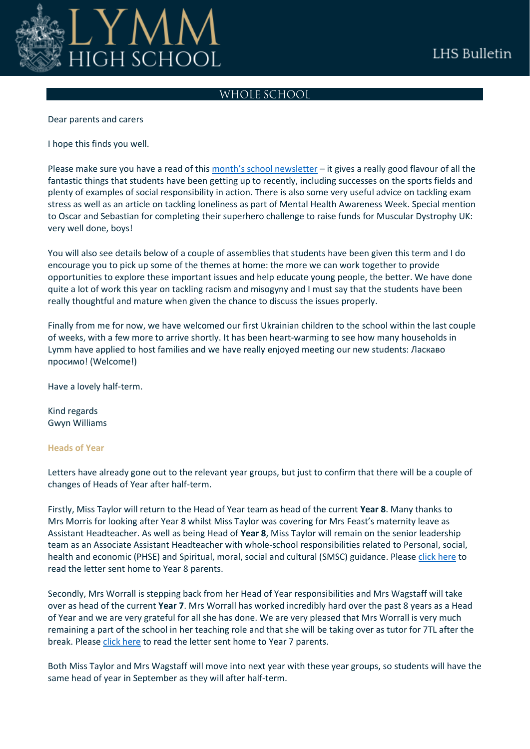

# WHOLE SCHOOL

Dear parents and carers

I hope this finds you well.

Please make sure you have a read of this [month's school newsletter](https://www.lymmhigh.org.uk/wp-content/uploads/2022/05/270522-School-Newsletter.pdf) - it gives a really good flavour of all the fantastic things that students have been getting up to recently, including successes on the sports fields and plenty of examples of social responsibility in action. There is also some very useful advice on tackling exam stress as well as an article on tackling loneliness as part of Mental Health Awareness Week. Special mention to Oscar and Sebastian for completing their superhero challenge to raise funds for Muscular Dystrophy UK: very well done, boys!

You will also see details below of a couple of assemblies that students have been given this term and I do encourage you to pick up some of the themes at home: the more we can work together to provide opportunities to explore these important issues and help educate young people, the better. We have done quite a lot of work this year on tackling racism and misogyny and I must say that the students have been really thoughtful and mature when given the chance to discuss the issues properly.

Finally from me for now, we have welcomed our first Ukrainian children to the school within the last couple of weeks, with a few more to arrive shortly. It has been heart-warming to see how many households in Lymm have applied to host families and we have really enjoyed meeting our new students: Ласкаво просимо! (Welcome!)

Have a lovely half-term.

Kind regards Gwyn Williams

## **Heads of Year**

Letters have already gone out to the relevant year groups, but just to confirm that there will be a couple of changes of Heads of Year after half-term.

Firstly, Miss Taylor will return to the Head of Year team as head of the current **Year 8**. Many thanks to Mrs Morris for looking after Year 8 whilst Miss Taylor was covering for Mrs Feast's maternity leave as Assistant Headteacher. As well as being Head of **Year 8**, Miss Taylor will remain on the senior leadership team as an Associate Assistant Headteacher with whole-school responsibilities related to Personal, social, health and economic (PHSE) and Spiritual, moral, social and cultural (SMSC) guidance. Please [click here](https://www.lymmhigh.org.uk/wp-content/uploads/2022/05/Letter-for-parents-Y8-HoY.pdf) to read the letter sent home to Year 8 parents.

Secondly, Mrs Worrall is stepping back from her Head of Year responsibilities and Mrs Wagstaff will take over as head of the current **Year 7**. Mrs Worrall has worked incredibly hard over the past 8 years as a Head of Year and we are very grateful for all she has done. We are very pleased that Mrs Worrall is very much remaining a part of the school in her teaching role and that she will be taking over as tutor for 7TL after the break. Pleas[e click here](https://www.lymmhigh.org.uk/wp-content/uploads/2022/05/Letter-for-parents-Y7-HoY.pdf) to read the letter sent home to Year 7 parents.

Both Miss Taylor and Mrs Wagstaff will move into next year with these year groups, so students will have the same head of year in September as they will after half-term.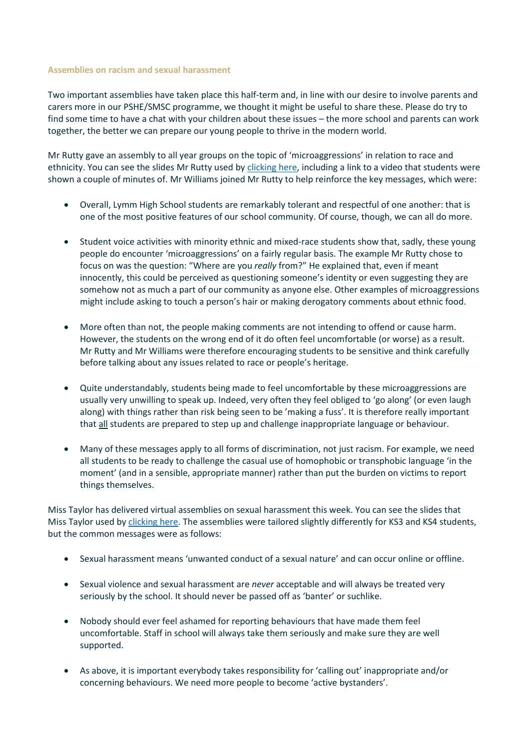### **Assemblies on racism and sexual harassment**

Two important assemblies have taken place this half-term and, in line with our desire to involve parents and carers more in our PSHE/SMSC programme, we thought it might be useful to share these. Please do try to find some time to have a chat with your children about these issues – the more school and parents can work together, the better we can prepare our young people to thrive in the modern world.

Mr Rutty gave an assembly to all year groups on the topic of 'microaggressions' in relation to race and ethnicity. You can see the slides Mr Rutty used b[y clicking here,](https://www.lymmhigh.org.uk/wp-content/uploads/2022/05/Racial-Microaggressions.pdf) including a link to a video that students were shown a couple of minutes of. Mr Williams joined Mr Rutty to help reinforce the key messages, which were:

- Overall, Lymm High School students are remarkably tolerant and respectful of one another: that is one of the most positive features of our school community. Of course, though, we can all do more.
- Student voice activities with minority ethnic and mixed-race students show that, sadly, these young people do encounter 'microaggressions' on a fairly regular basis. The example Mr Rutty chose to focus on was the question: "Where are you *really* from?" He explained that, even if meant innocently, this could be perceived as questioning someone's identity or even suggesting they are somehow not as much a part of our community as anyone else. Other examples of microaggressions might include asking to touch a person's hair or making derogatory comments about ethnic food.
- More often than not, the people making comments are not intending to offend or cause harm. However, the students on the wrong end of it do often feel uncomfortable (or worse) as a result. Mr Rutty and Mr Williams were therefore encouraging students to be sensitive and think carefully before talking about any issues related to race or people's heritage.
- Quite understandably, students being made to feel uncomfortable by these microaggressions are usually very unwilling to speak up. Indeed, very often they feel obliged to 'go along' (or even laugh along) with things rather than risk being seen to be 'making a fuss'. It is therefore really important that all students are prepared to step up and challenge inappropriate language or behaviour.
- Many of these messages apply to all forms of discrimination, not just racism. For example, we need all students to be ready to challenge the casual use of homophobic or transphobic language 'in the moment' (and in a sensible, appropriate manner) rather than put the burden on victims to report things themselves.

Miss Taylor has delivered virtual assemblies on sexual harassment this week. You can see the slides that Miss Taylor used by [clicking here.](https://www.lymmhigh.org.uk/wp-content/uploads/2022/05/Sexual-Harassment-KS3.pdf) The assemblies were tailored slightly differently for KS3 and KS4 students, but the common messages were as follows:

- Sexual harassment means 'unwanted conduct of a sexual nature' and can occur online or offline.
- Sexual violence and sexual harassment are *never* acceptable and will always be treated very seriously by the school. It should never be passed off as 'banter' or suchlike.
- Nobody should ever feel ashamed for reporting behaviours that have made them feel uncomfortable. Staff in school will always take them seriously and make sure they are well supported.
- As above, it is important everybody takes responsibility for 'calling out' inappropriate and/or concerning behaviours. We need more people to become 'active bystanders'.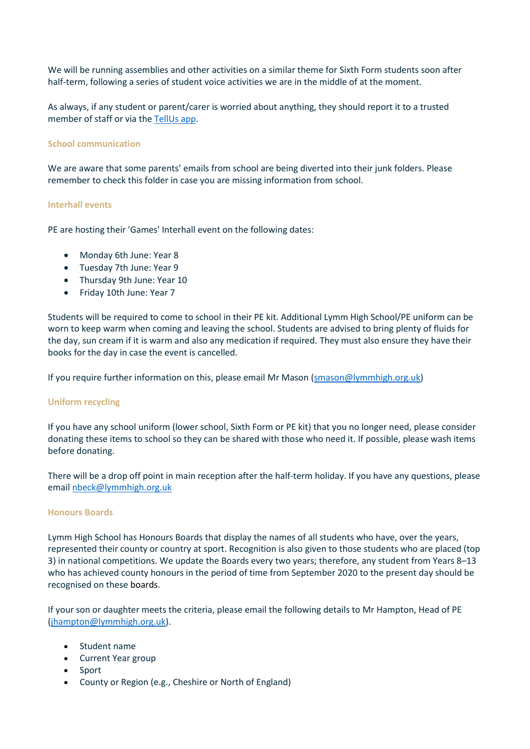We will be running assemblies and other activities on a similar theme for Sixth Form students soon after half-term, following a series of student voice activities we are in the middle of at the moment.

As always, if any student or parent/carer is worried about anything, they should report it to a trusted member of staff or via the [TellUs app.](https://www.lymmhigh.org.uk/tell-us/)

## **School communication**

We are aware that some parents' emails from school are being diverted into their junk folders. Please remember to check this folder in case you are missing information from school.

#### **Interhall events**

PE are hosting their 'Games' Interhall event on the following dates:

- Monday 6th June: Year 8
- Tuesday 7th June: Year 9
- Thursday 9th June: Year 10
- Friday 10th June: Year 7

Students will be required to come to school in their PE kit. Additional Lymm High School/PE uniform can be worn to keep warm when coming and leaving the school. Students are advised to bring plenty of fluids for the day, sun cream if it is warm and also any medication if required. They must also ensure they have their books for the day in case the event is cancelled.

If you require further information on this, please email Mr Mason [\(smason@lymmhigh.org.uk\)](mailto:smason@lymmhigh.org.uk)

## **Uniform recycling**

If you have any school uniform (lower school, Sixth Form or PE kit) that you no longer need, please consider donating these items to school so they can be shared with those who need it. If possible, please wash items before donating.

There will be a drop off point in main reception after the half-term holiday. If you have any questions, please email [nbeck@lymmhigh.org.uk](mailto:nbeck@lymmhigh.org.uk)

#### **Honours Boards**

Lymm High School has Honours Boards that display the names of all students who have, over the years, represented their county or country at sport. Recognition is also given to those students who are placed (top 3) in national competitions. We update the Boards every two years; therefore, any student from Years 8–13 who has achieved county honours in the period of time from September 2020 to the present day should be recognised on these boards.

If your son or daughter meets the criteria, please email the following details to Mr Hampton, Head of PE [\(jhampton@lymmhigh.org.uk\)](mailto:jhampton@lymmhigh.org.uk).

- Student name
- Current Year group
- Sport
- County or Region (e.g., Cheshire or North of England)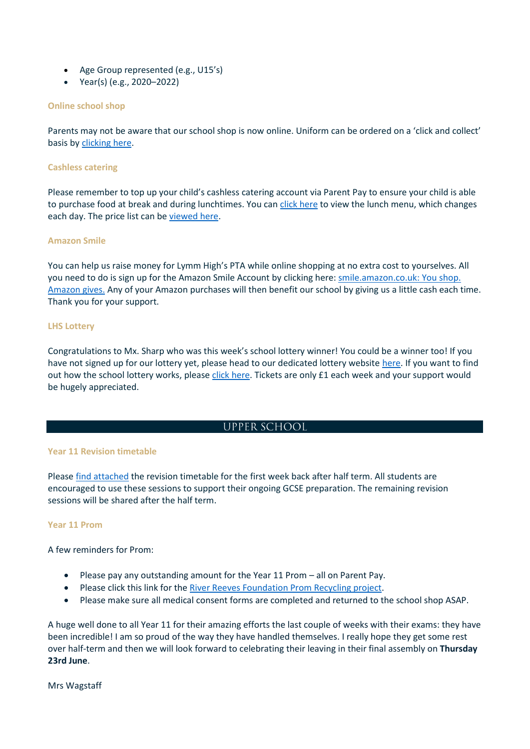- Age Group represented (e.g., U15's)
- Year(s) (e.g., 2020–2022)

## **Online school shop**

Parents may not be aware that our school shop is now online. Uniform can be ordered on a 'click and collect' basis by [clicking here.](https://shop.lymmhigh.org.uk/uniform-guidelines/)

## **Cashless catering**

Please remember to top up your child's cashless catering account via Parent Pay to ensure your child is able to purchase food at break and during lunchtimes. You ca[n click here](https://www.lymmhigh.org.uk/wp-content/uploads/2021/06/2020-2021-Lymm-Diner-Main-Menu-A4.pdf) to view the lunch menu, which changes each day. The price list can be [viewed here.](https://www.lymmhigh.org.uk/wp-content/uploads/2021/10/2020-21-Lymm-Diner-Price-Lists.pdf)

### **Amazon Smile**

You can help us raise money for Lymm High's PTA while online shopping at no extra cost to yourselves. All you need to do is sign up for the Amazon Smile Account by clicking here: [smile.amazon.co.uk: You shop.](https://smile.amazon.co.uk/gp/chpf/homepage/ref=smi_chpf_redirect?ie=UTF8&ein=515801-0&ref_=smi_ext_ch_515801-0_cl&fbclid=IwAR2Uq0Fft0D1JtTdcxdQI0ycnuZ7ORfMP9yBAkdDQO7lK-8Yc-0BNfGfaWA)  [Amazon gives.](https://smile.amazon.co.uk/gp/chpf/homepage/ref=smi_chpf_redirect?ie=UTF8&ein=515801-0&ref_=smi_ext_ch_515801-0_cl&fbclid=IwAR2Uq0Fft0D1JtTdcxdQI0ycnuZ7ORfMP9yBAkdDQO7lK-8Yc-0BNfGfaWA) Any of your Amazon purchases will then benefit our school by giving us a little cash each time. Thank you for your support.

### **LHS Lottery**

Congratulations to Mx. Sharp who was this week's school lottery winner! You could be a winner too! If you have not signed up for our lottery yet, please head to our dedicated lottery website [here.](https://www.yourschoollottery.co.uk/lottery/school/lymm-high-school) If you want to find out how the school lottery works, please [click here.](https://www.lymmhigh.org.uk/wp-content/uploads/2021/01/how-it-works-printable.pdf) Tickets are only £1 each week and your support would be hugely appreciated.

## **UPPER SCHOOL**

## **Year 11 Revision timetable**

Please [find attached](https://www.lymmhigh.org.uk/wp-content/uploads/2022/05/Student-Revision-Timetable-6th-10th-June.pdf) the revision timetable for the first week back after half term. All students are encouraged to use these sessions to support their ongoing GCSE preparation. The remaining revision sessions will be shared after the half term.

#### **Year 11 Prom**

A few reminders for Prom:

- Please pay any outstanding amount for the Year 11 Prom all on Parent Pay.
- Please click this link for the [River Reeves Foundation Prom Recycling project.](https://www.riverreevesfoundation.org/vintage-viola/prominence)
- Please make sure all medical consent forms are completed and returned to the school shop ASAP.

A huge well done to all Year 11 for their amazing efforts the last couple of weeks with their exams: they have been incredible! I am so proud of the way they have handled themselves. I really hope they get some rest over half-term and then we will look forward to celebrating their leaving in their final assembly on **Thursday 23rd June**.

Mrs Wagstaff